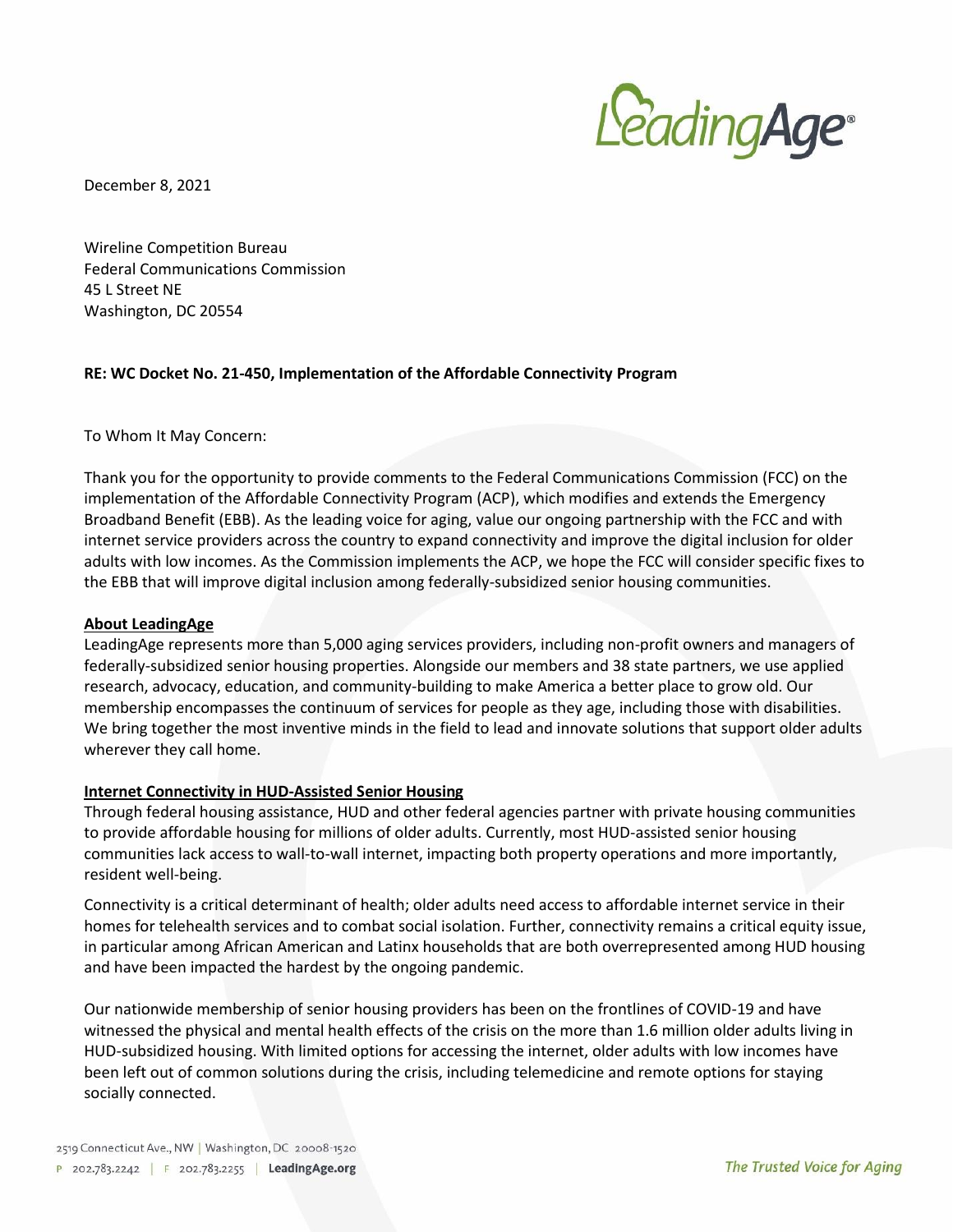

December 8, 2021

Wireline Competition Bureau Federal Communications Commission 45 L Street NE Washington, DC 20554

### **RE: WC Docket No. 21-450, Implementation of the Affordable Connectivity Program**

To Whom It May Concern:

Thank you for the opportunity to provide comments to the Federal Communications Commission (FCC) on the implementation of the Affordable Connectivity Program (ACP), which modifies and extends the Emergency Broadband Benefit (EBB). As the leading voice for aging, value our ongoing partnership with the FCC and with internet service providers across the country to expand connectivity and improve the digital inclusion for older adults with low incomes. As the Commission implements the ACP, we hope the FCC will consider specific fixes to the EBB that will improve digital inclusion among federally-subsidized senior housing communities.

### **About LeadingAge**

LeadingAge represents more than 5,000 aging services providers, including non-profit owners and managers of federally-subsidized senior housing properties. Alongside our members and 38 state partners, we use applied research, advocacy, education, and community-building to make America a better place to grow old. Our membership encompasses the continuum of services for people as they age, including those with disabilities. We bring together the most inventive minds in the field to lead and innovate solutions that support older adults wherever they call home.

### **Internet Connectivity in HUD-Assisted Senior Housing**

Through federal housing assistance, HUD and other federal agencies partner with private housing communities to provide affordable housing for millions of older adults. Currently, most HUD-assisted senior housing communities lack access to wall-to-wall internet, impacting both property operations and more importantly, resident well-being.

Connectivity is a critical determinant of health; older adults need access to affordable internet service in their homes for telehealth services and to combat social isolation. Further, connectivity remains a critical equity issue, in particular among African American and Latinx households that are both overrepresented among HUD housing and have been impacted the hardest by the ongoing pandemic.

Our nationwide membership of senior housing providers has been on the frontlines of COVID-19 and have witnessed the physical and mental health effects of the crisis on the more than 1.6 million older adults living in HUD-subsidized housing. With limited options for accessing the internet, older adults with low incomes have been left out of common solutions during the crisis, including telemedicine and remote options for staying socially connected.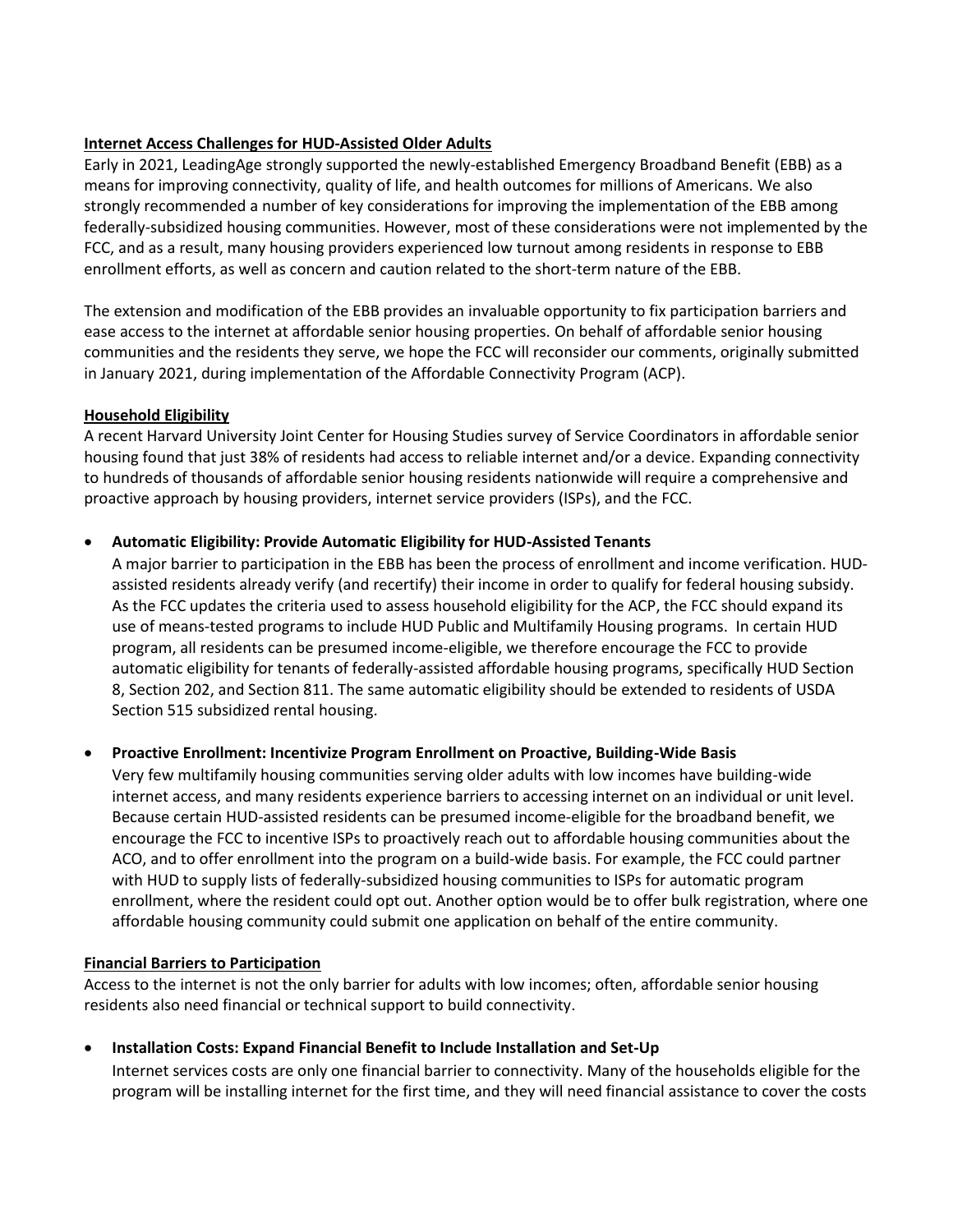## **Internet Access Challenges for HUD-Assisted Older Adults**

Early in 2021, LeadingAge strongly supported the newly-established Emergency Broadband Benefit (EBB) as a means for improving connectivity, quality of life, and health outcomes for millions of Americans. We also strongly recommended a number of key considerations for improving the implementation of the EBB among federally-subsidized housing communities. However, most of these considerations were not implemented by the FCC, and as a result, many housing providers experienced low turnout among residents in response to EBB enrollment efforts, as well as concern and caution related to the short-term nature of the EBB.

The extension and modification of the EBB provides an invaluable opportunity to fix participation barriers and ease access to the internet at affordable senior housing properties. On behalf of affordable senior housing communities and the residents they serve, we hope the FCC will reconsider our comments, originally submitted in January 2021, during implementation of the Affordable Connectivity Program (ACP).

## **Household Eligibility**

A recent Harvard University Joint Center for Housing Studies survey of Service Coordinators in affordable senior housing found that just 38% of residents had access to reliable internet and/or a device. Expanding connectivity to hundreds of thousands of affordable senior housing residents nationwide will require a comprehensive and proactive approach by housing providers, internet service providers (ISPs), and the FCC.

## • **Automatic Eligibility: Provide Automatic Eligibility for HUD-Assisted Tenants**

A major barrier to participation in the EBB has been the process of enrollment and income verification. HUDassisted residents already verify (and recertify) their income in order to qualify for federal housing subsidy. As the FCC updates the criteria used to assess household eligibility for the ACP, the FCC should expand its use of means-tested programs to include HUD Public and Multifamily Housing programs. In certain HUD program, all residents can be presumed income-eligible, we therefore encourage the FCC to provide automatic eligibility for tenants of federally-assisted affordable housing programs, specifically HUD Section 8, Section 202, and Section 811. The same automatic eligibility should be extended to residents of USDA Section 515 subsidized rental housing.

# • **Proactive Enrollment: Incentivize Program Enrollment on Proactive, Building-Wide Basis**

Very few multifamily housing communities serving older adults with low incomes have building-wide internet access, and many residents experience barriers to accessing internet on an individual or unit level. Because certain HUD-assisted residents can be presumed income-eligible for the broadband benefit, we encourage the FCC to incentive ISPs to proactively reach out to affordable housing communities about the ACO, and to offer enrollment into the program on a build-wide basis. For example, the FCC could partner with HUD to supply lists of federally-subsidized housing communities to ISPs for automatic program enrollment, where the resident could opt out. Another option would be to offer bulk registration, where one affordable housing community could submit one application on behalf of the entire community.

## **Financial Barriers to Participation**

Access to the internet is not the only barrier for adults with low incomes; often, affordable senior housing residents also need financial or technical support to build connectivity.

• **Installation Costs: Expand Financial Benefit to Include Installation and Set-Up** Internet services costs are only one financial barrier to connectivity. Many of the households eligible for the

program will be installing internet for the first time, and they will need financial assistance to cover the costs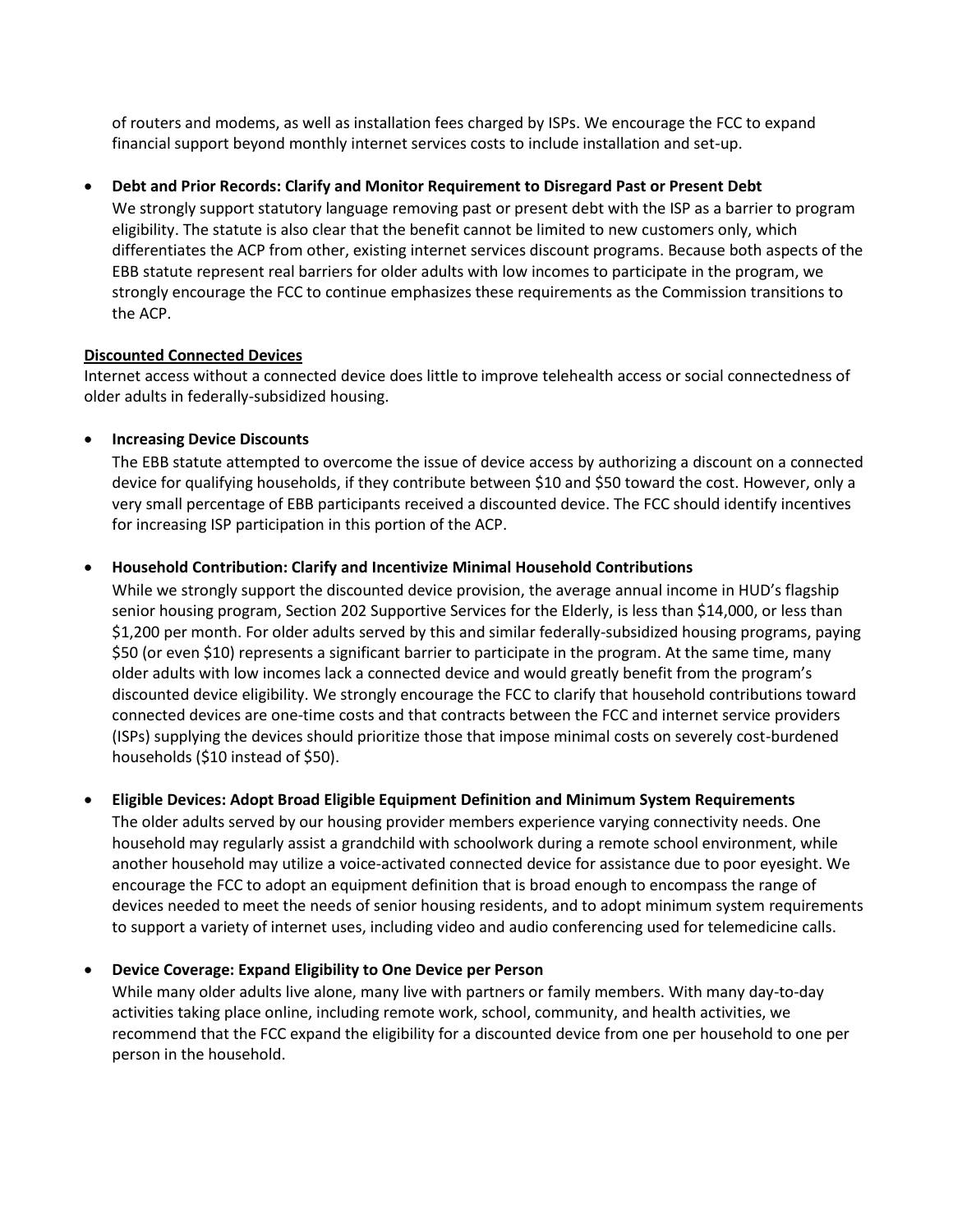of routers and modems, as well as installation fees charged by ISPs. We encourage the FCC to expand financial support beyond monthly internet services costs to include installation and set-up.

## • **Debt and Prior Records: Clarify and Monitor Requirement to Disregard Past or Present Debt**

We strongly support statutory language removing past or present debt with the ISP as a barrier to program eligibility. The statute is also clear that the benefit cannot be limited to new customers only, which differentiates the ACP from other, existing internet services discount programs. Because both aspects of the EBB statute represent real barriers for older adults with low incomes to participate in the program, we strongly encourage the FCC to continue emphasizes these requirements as the Commission transitions to the ACP.

### **Discounted Connected Devices**

Internet access without a connected device does little to improve telehealth access or social connectedness of older adults in federally-subsidized housing.

## • **Increasing Device Discounts**

The EBB statute attempted to overcome the issue of device access by authorizing a discount on a connected device for qualifying households, if they contribute between \$10 and \$50 toward the cost. However, only a very small percentage of EBB participants received a discounted device. The FCC should identify incentives for increasing ISP participation in this portion of the ACP.

## • **Household Contribution: Clarify and Incentivize Minimal Household Contributions**

While we strongly support the discounted device provision, the average annual income in HUD's flagship senior housing program, Section 202 Supportive Services for the Elderly, is less than \$14,000, or less than \$1,200 per month. For older adults served by this and similar federally-subsidized housing programs, paying \$50 (or even \$10) represents a significant barrier to participate in the program. At the same time, many older adults with low incomes lack a connected device and would greatly benefit from the program's discounted device eligibility. We strongly encourage the FCC to clarify that household contributions toward connected devices are one-time costs and that contracts between the FCC and internet service providers (ISPs) supplying the devices should prioritize those that impose minimal costs on severely cost-burdened households (\$10 instead of \$50).

## • **Eligible Devices: Adopt Broad Eligible Equipment Definition and Minimum System Requirements**

The older adults served by our housing provider members experience varying connectivity needs. One household may regularly assist a grandchild with schoolwork during a remote school environment, while another household may utilize a voice-activated connected device for assistance due to poor eyesight. We encourage the FCC to adopt an equipment definition that is broad enough to encompass the range of devices needed to meet the needs of senior housing residents, and to adopt minimum system requirements to support a variety of internet uses, including video and audio conferencing used for telemedicine calls.

## • **Device Coverage: Expand Eligibility to One Device per Person**

While many older adults live alone, many live with partners or family members. With many day-to-day activities taking place online, including remote work, school, community, and health activities, we recommend that the FCC expand the eligibility for a discounted device from one per household to one per person in the household.